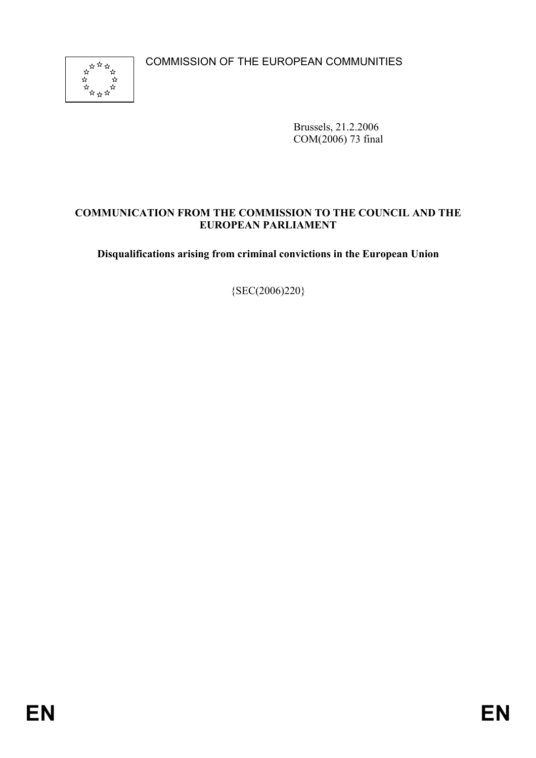COMMISSION OF THE EUROPEAN COMMUNITIES



Brussels, 21.2.2006 COM(2006) 73 final

# **COMMUNICATION FROM THE COMMISSION TO THE COUNCIL AND THE EUROPEAN PARLIAMENT**

**Disqualifications arising from criminal convictions in the European Union** 

{SEC(2006)220}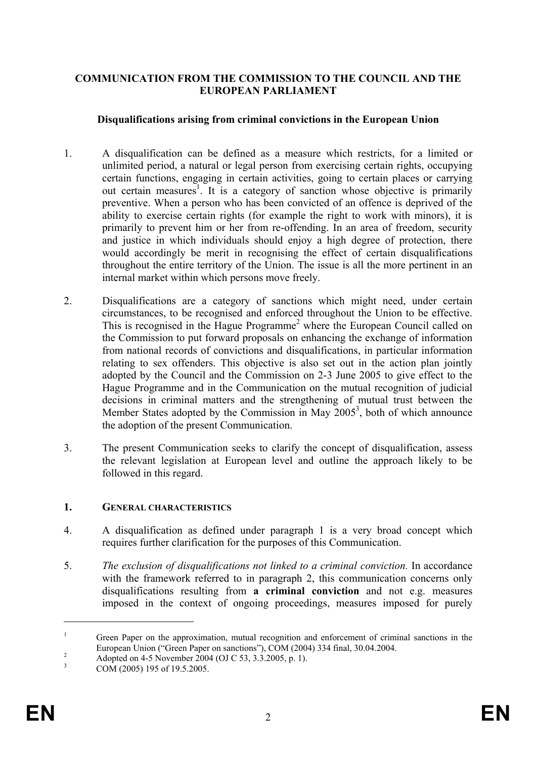## **COMMUNICATION FROM THE COMMISSION TO THE COUNCIL AND THE EUROPEAN PARLIAMENT**

## **Disqualifications arising from criminal convictions in the European Union**

- 1. A disqualification can be defined as a measure which restricts, for a limited or unlimited period, a natural or legal person from exercising certain rights, occupying certain functions, engaging in certain activities, going to certain places or carrying out certain measures<sup>1</sup>. It is a category of sanction whose objective is primarily preventive. When a person who has been convicted of an offence is deprived of the ability to exercise certain rights (for example the right to work with minors), it is primarily to prevent him or her from re-offending. In an area of freedom, security and justice in which individuals should enjoy a high degree of protection, there would accordingly be merit in recognising the effect of certain disqualifications throughout the entire territory of the Union. The issue is all the more pertinent in an internal market within which persons move freely.
- 2. Disqualifications are a category of sanctions which might need, under certain circumstances, to be recognised and enforced throughout the Union to be effective. This is recognised in the Hague Programme<sup>2</sup> where the European Council called on the Commission to put forward proposals on enhancing the exchange of information from national records of convictions and disqualifications, in particular information relating to sex offenders. This objective is also set out in the action plan jointly adopted by the Council and the Commission on 2-3 June 2005 to give effect to the Hague Programme and in the Communication on the mutual recognition of judicial decisions in criminal matters and the strengthening of mutual trust between the Member States adopted by the Commission in May  $2005^3$ , both of which announce the adoption of the present Communication.
- 3. The present Communication seeks to clarify the concept of disqualification, assess the relevant legislation at European level and outline the approach likely to be followed in this regard.

#### **1. GENERAL CHARACTERISTICS**

- 4. A disqualification as defined under paragraph 1 is a very broad concept which requires further clarification for the purposes of this Communication.
- 5. *The exclusion of disqualifications not linked to a criminal conviction.* In accordance with the framework referred to in paragraph 2, this communication concerns only disqualifications resulting from **a criminal conviction** and not e.g. measures imposed in the context of ongoing proceedings, measures imposed for purely

<sup>1</sup> Green Paper on the approximation, mutual recognition and enforcement of criminal sanctions in the European Union ("Green Paper on sanctions"), COM (2004) 334 final, 30.04.2004.

Adopted on 4-5 November 2004 (OJ C 53, 3.3.2005, p. 1).

<sup>3</sup> COM (2005) 195 of 19.5.2005.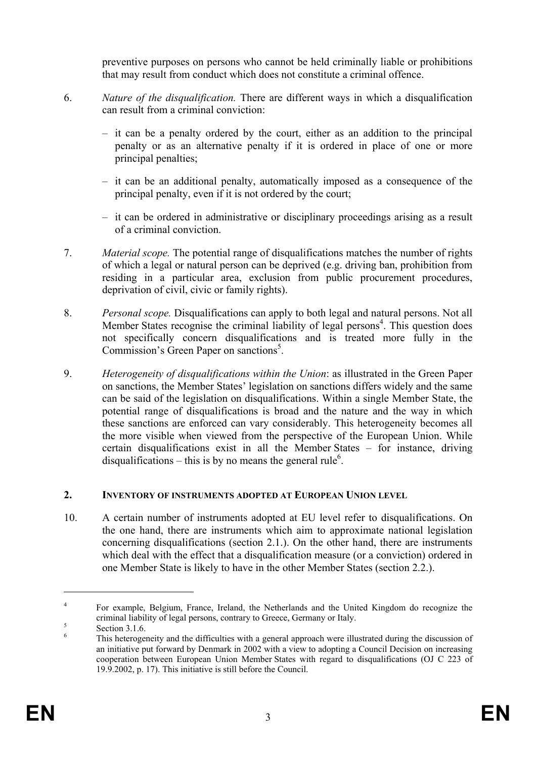preventive purposes on persons who cannot be held criminally liable or prohibitions that may result from conduct which does not constitute a criminal offence.

- 6. *Nature of the disqualification.* There are different ways in which a disqualification can result from a criminal conviction:
	- it can be a penalty ordered by the court, either as an addition to the principal penalty or as an alternative penalty if it is ordered in place of one or more principal penalties;
	- it can be an additional penalty, automatically imposed as a consequence of the principal penalty, even if it is not ordered by the court;
	- it can be ordered in administrative or disciplinary proceedings arising as a result of a criminal conviction.
- 7. *Material scope.* The potential range of disqualifications matches the number of rights of which a legal or natural person can be deprived (e.g. driving ban, prohibition from residing in a particular area, exclusion from public procurement procedures, deprivation of civil, civic or family rights).
- 8. *Personal scope.* Disqualifications can apply to both legal and natural persons. Not all Member States recognise the criminal liability of legal persons<sup>4</sup>. This question does not specifically concern disqualifications and is treated more fully in the Commission's Green Paper on sanctions<sup>5</sup>.
- 9. *Heterogeneity of disqualifications within the Union*: as illustrated in the Green Paper on sanctions, the Member States' legislation on sanctions differs widely and the same can be said of the legislation on disqualifications. Within a single Member State, the potential range of disqualifications is broad and the nature and the way in which these sanctions are enforced can vary considerably. This heterogeneity becomes all the more visible when viewed from the perspective of the European Union. While certain disqualifications exist in all the Member States – for instance, driving disqualifications – this is by no means the general rule<sup>6</sup>.

## **2. INVENTORY OF INSTRUMENTS ADOPTED AT EUROPEAN UNION LEVEL**

10. A certain number of instruments adopted at EU level refer to disqualifications. On the one hand, there are instruments which aim to approximate national legislation concerning disqualifications (section 2.1.). On the other hand, there are instruments which deal with the effect that a disqualification measure (or a conviction) ordered in one Member State is likely to have in the other Member States (section 2.2.).

<sup>4</sup> For example, Belgium, France, Ireland, the Netherlands and the United Kingdom do recognize the criminal liability of legal persons, contrary to Greece, Germany or Italy.

Section 3.1.6.

<sup>6</sup> This heterogeneity and the difficulties with a general approach were illustrated during the discussion of an initiative put forward by Denmark in 2002 with a view to adopting a Council Decision on increasing cooperation between European Union Member States with regard to disqualifications (OJ C 223 of 19.9.2002, p. 17). This initiative is still before the Council.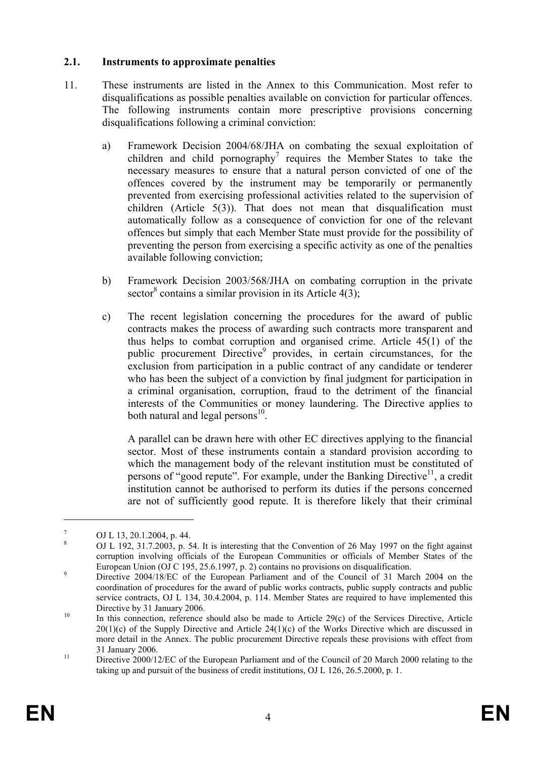## **2.1. Instruments to approximate penalties**

- 11. These instruments are listed in the Annex to this Communication. Most refer to disqualifications as possible penalties available on conviction for particular offences. The following instruments contain more prescriptive provisions concerning disqualifications following a criminal conviction:
	- a) Framework Decision 2004/68/JHA on combating the sexual exploitation of children and child pornography<sup>7</sup> requires the Member States to take the necessary measures to ensure that a natural person convicted of one of the offences covered by the instrument may be temporarily or permanently prevented from exercising professional activities related to the supervision of children (Article 5(3)). That does not mean that disqualification must automatically follow as a consequence of conviction for one of the relevant offences but simply that each Member State must provide for the possibility of preventing the person from exercising a specific activity as one of the penalties available following conviction;
	- b) Framework Decision 2003/568/JHA on combating corruption in the private sector<sup>8</sup> contains a similar provision in its Article  $4(3)$ ;
	- c) The recent legislation concerning the procedures for the award of public contracts makes the process of awarding such contracts more transparent and thus helps to combat corruption and organised crime. Article  $45(1)$  of the public procurement Directive<sup>9</sup> provides, in certain circumstances, for the exclusion from participation in a public contract of any candidate or tenderer who has been the subject of a conviction by final judgment for participation in a criminal organisation, corruption, fraud to the detriment of the financial interests of the Communities or money laundering. The Directive applies to both natural and legal persons $^{10}$ .

 A parallel can be drawn here with other EC directives applying to the financial sector. Most of these instruments contain a standard provision according to which the management body of the relevant institution must be constituted of persons of "good repute". For example, under the Banking Directive<sup>11</sup>, a credit institution cannot be authorised to perform its duties if the persons concerned are not of sufficiently good repute. It is therefore likely that their criminal

<sup>7</sup> OJ L 13, 20.1.2004, p. 44.

<sup>8</sup> OJ L 192, 31.7.2003, p. 54. It is interesting that the Convention of 26 May 1997 on the fight against corruption involving officials of the European Communities or officials of Member States of the European Union (OJ C 195, 25.6.1997, p. 2) contains no provisions on disqualification.

Directive 2004/18/EC of the European Parliament and of the Council of 31 March 2004 on the coordination of procedures for the award of public works contracts, public supply contracts and public service contracts, OJ L 134, 30.4.2004, p. 114. Member States are required to have implemented this Directive by 31 January 2006.<br>
In this connection, reference should also be made to Article 29(c) of the Services Directive, Article

 $20(1)(c)$  of the Supply Directive and Article  $24(1)(c)$  of the Works Directive which are discussed in more detail in the Annex. The public procurement Directive repeals these provisions with effect from <sup>11</sup> 31 January 2006.<br><sup>11</sup> Directive 2000/12/EC of the European Parliament and of the Council of 20 March 2000 relating to the

taking up and pursuit of the business of credit institutions, OJ L 126, 26.5.2000, p. 1.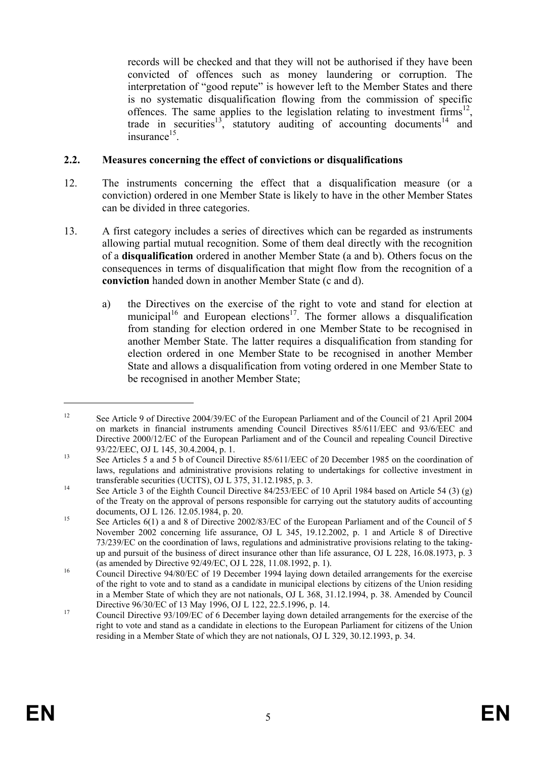records will be checked and that they will not be authorised if they have been convicted of offences such as money laundering or corruption. The interpretation of "good repute" is however left to the Member States and there is no systematic disqualification flowing from the commission of specific offences. The same applies to the legislation relating to investment  $\lim_{n \to \infty} s^{12}$ , trade in securities<sup>13</sup>, statutory auditing of accounting documents<sup>14</sup> and  $in$ surance $15$ .

## **2.2. Measures concerning the effect of convictions or disqualifications**

- 12. The instruments concerning the effect that a disqualification measure (or a conviction) ordered in one Member State is likely to have in the other Member States can be divided in three categories.
- 13. A first category includes a series of directives which can be regarded as instruments allowing partial mutual recognition. Some of them deal directly with the recognition of a **disqualification** ordered in another Member State (a and b). Others focus on the consequences in terms of disqualification that might flow from the recognition of a **conviction** handed down in another Member State (c and d).
	- a) the Directives on the exercise of the right to vote and stand for election at municipal<sup>16</sup> and European elections<sup>17</sup>. The former allows a disqualification from standing for election ordered in one Member State to be recognised in another Member State. The latter requires a disqualification from standing for election ordered in one Member State to be recognised in another Member State and allows a disqualification from voting ordered in one Member State to be recognised in another Member State;

<sup>&</sup>lt;sup>12</sup> See Article 9 of Directive 2004/39/EC of the European Parliament and of the Council of 21 April 2004 on markets in financial instruments amending Council Directives 85/611/EEC and 93/6/EEC and Directive 2000/12/EC of the European Parliament and of the Council and repealing Council Directive

<sup>93/22/</sup>EEC, OJ L 145, 30.4.2004, p. 1.<br>See Articles 5 a and 5 b of Council Directive 85/611/EEC of 20 December 1985 on the coordination of laws, regulations and administrative provisions relating to undertakings for collective investment in

transferable securities (UCITS), OJ L 375, 31.12.1985, p. 3.<br>See Article 3 of the Eighth Council Directive 84/253/EEC of 10 April 1984 based on Article 54 (3) (g) of the Treaty on the approval of persons responsible for carrying out the statutory audits of accounting

documents, OJ L 126. 12.05.1984, p. 20.<br>See Articles 6(1) a and 8 of Directive 2002/83/EC of the European Parliament and of the Council of 5 November 2002 concerning life assurance, OJ L 345, 19.12.2002, p. 1 and Article 8 of Directive 73/239/EC on the coordination of laws, regulations and administrative provisions relating to the takingup and pursuit of the business of direct insurance other than life assurance, OJ L 228, 16.08.1973, p. 3 (as amended by Directive 92/49/EC, OJ L 228, 11.08.1992, p. 1).<br>
Council Directive 94/80/EC of 19 December 1994 laying down detailed arrangements for the exercise

of the right to vote and to stand as a candidate in municipal elections by citizens of the Union residing in a Member State of which they are not nationals, OJ L 368, 31.12.1994, p. 38. Amended by Council

Directive 96/30/EC of 13 May 1996, OJ L 122, 22.5.1996, p. 14.<br>Council Directive 93/109/EC of 6 December laying down detailed arrangements for the exercise of the right to vote and stand as a candidate in elections to the European Parliament for citizens of the Union residing in a Member State of which they are not nationals, OJ L 329, 30.12.1993, p. 34.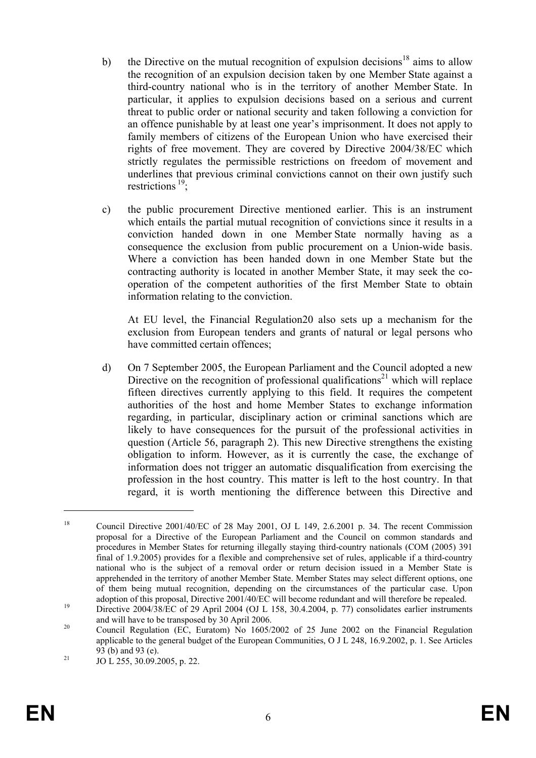- b) the Directive on the mutual recognition of expulsion decisions<sup>18</sup> aims to allow the recognition of an expulsion decision taken by one Member State against a third-country national who is in the territory of another Member State. In particular, it applies to expulsion decisions based on a serious and current threat to public order or national security and taken following a conviction for an offence punishable by at least one year's imprisonment. It does not apply to family members of citizens of the European Union who have exercised their rights of free movement. They are covered by Directive 2004/38/EC which strictly regulates the permissible restrictions on freedom of movement and underlines that previous criminal convictions cannot on their own justify such restrictions<sup>19</sup>:
- c) the public procurement Directive mentioned earlier. This is an instrument which entails the partial mutual recognition of convictions since it results in a conviction handed down in one Member State normally having as a consequence the exclusion from public procurement on a Union-wide basis. Where a conviction has been handed down in one Member State but the contracting authority is located in another Member State, it may seek the cooperation of the competent authorities of the first Member State to obtain information relating to the conviction.

 At EU level, the Financial Regulation20 also sets up a mechanism for the exclusion from European tenders and grants of natural or legal persons who have committed certain offences;

d) On 7 September 2005, the European Parliament and the Council adopted a new Directive on the recognition of professional qualifications<sup>21</sup> which will replace fifteen directives currently applying to this field. It requires the competent authorities of the host and home Member States to exchange information regarding, in particular, disciplinary action or criminal sanctions which are likely to have consequences for the pursuit of the professional activities in question (Article 56, paragraph 2). This new Directive strengthens the existing obligation to inform. However, as it is currently the case, the exchange of information does not trigger an automatic disqualification from exercising the profession in the host country. This matter is left to the host country. In that regard, it is worth mentioning the difference between this Directive and

<sup>&</sup>lt;sup>18</sup> Council Directive 2001/40/EC of 28 May 2001, OJ L 149, 2.6.2001 p. 34. The recent Commission proposal for a Directive of the European Parliament and the Council on common standards and procedures in Member States for returning illegally staying third-country nationals (COM (2005) 391 final of 1.9.2005) provides for a flexible and comprehensive set of rules, applicable if a third-country national who is the subject of a removal order or return decision issued in a Member State is apprehended in the territory of another Member State. Member States may select different options, one of them being mutual recognition, depending on the circumstances of the particular case. Upon

adoption of this proposal, Directive 2001/40/EC will become redundant and will therefore be repealed.<br><sup>19</sup> Directive 2004/38/EC of 29 April 2004 (OJ L 158, 30.4.2004, p. 77) consolidates earlier instruments

and will have to be transposed by 30 April 2006.<br><sup>20</sup> Council Regulation (EC, Euratom) No 1605/2002 of 25 June 2002 on the Financial Regulation applicable to the general budget of the European Communities, O J L 248, 16.9.2002, p. 1. See Articles 93 (b) and 93 (e).<br>  $\overline{5}$  JO L 255, 30.09.2005, p. 22.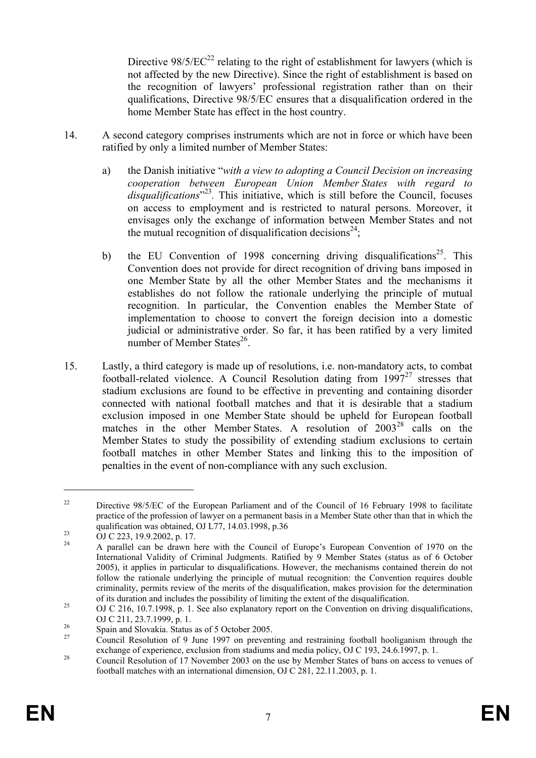Directive  $98/5/EC^{22}$  relating to the right of establishment for lawyers (which is not affected by the new Directive). Since the right of establishment is based on the recognition of lawyers' professional registration rather than on their qualifications, Directive 98/5/EC ensures that a disqualification ordered in the home Member State has effect in the host country.

- 14. A second category comprises instruments which are not in force or which have been ratified by only a limited number of Member States:
	- a) the Danish initiative "*with a view to adopting a Council Decision on increasing cooperation between European Union Member States with regard to*  disqualifications<sup>"23</sup>. This initiative, which is still before the Council, focuses on access to employment and is restricted to natural persons. Moreover, it envisages only the exchange of information between Member States and not the mutual recognition of disqualification decisions<sup>24</sup>;
	- b) the EU Convention of 1998 concerning driving disqualifications<sup>25</sup>. This Convention does not provide for direct recognition of driving bans imposed in one Member State by all the other Member States and the mechanisms it establishes do not follow the rationale underlying the principle of mutual recognition. In particular, the Convention enables the Member State of implementation to choose to convert the foreign decision into a domestic judicial or administrative order. So far, it has been ratified by a very limited number of Member States $^{26}$ .
- 15. Lastly, a third category is made up of resolutions, i.e. non-mandatory acts, to combat football-related violence. A Council Resolution dating from  $1997<sup>27</sup>$  stresses that stadium exclusions are found to be effective in preventing and containing disorder connected with national football matches and that it is desirable that a stadium exclusion imposed in one Member State should be upheld for European football matches in the other Member States. A resolution of 2003<sup>28</sup> calls on the Member States to study the possibility of extending stadium exclusions to certain football matches in other Member States and linking this to the imposition of penalties in the event of non-compliance with any such exclusion.

<sup>&</sup>lt;sup>22</sup> Directive 98/5/EC of the European Parliament and of the Council of 16 February 1998 to facilitate practice of the profession of lawyer on a permanent basis in a Member State other than that in which the qualification was obtained, OJ L77, 14.03.1998, p.36<br>
OJ C 223, 19.9.2002, p. 17.<br>  $\lambda$  asselled age has drawn have with the Gaussil of

<sup>24</sup> A parallel can be drawn here with the Council of Europe's European Convention of 1970 on the International Validity of Criminal Judgments. Ratified by 9 Member States (status as of 6 October 2005), it applies in particular to disqualifications. However, the mechanisms contained therein do not follow the rationale underlying the principle of mutual recognition: the Convention requires double criminality, permits review of the merits of the disqualification, makes provision for the determination of its duration and includes the possibility of limiting the extent of the disqualification.<br><sup>25</sup> OJ C 216, 10.7.1998, p. 1. See also explanatory report on the Convention on driving disqualifications,

OJ C 211, 23.7.1999, p. 1.<br>
Spain and Slovakia. Status as of 5 October 2005.<br>  $\frac{27}{27}$  Council Besolution of 9 June 1997 and may

Council Resolution of 9 June 1997 on preventing and restraining football hooliganism through the exchange of experience, exclusion from stadiums and media policy, OJ C 193, 24.6.1997, p. 1.

experience, exclusion from stadiums and media policy, OV C 193, 24.6.1997, p. 1.<br>Council Resolution of 17 November 2003 on the use by Member States of bans on access to venues of football matches with an international dimension, OJ C 281, 22.11.2003, p. 1.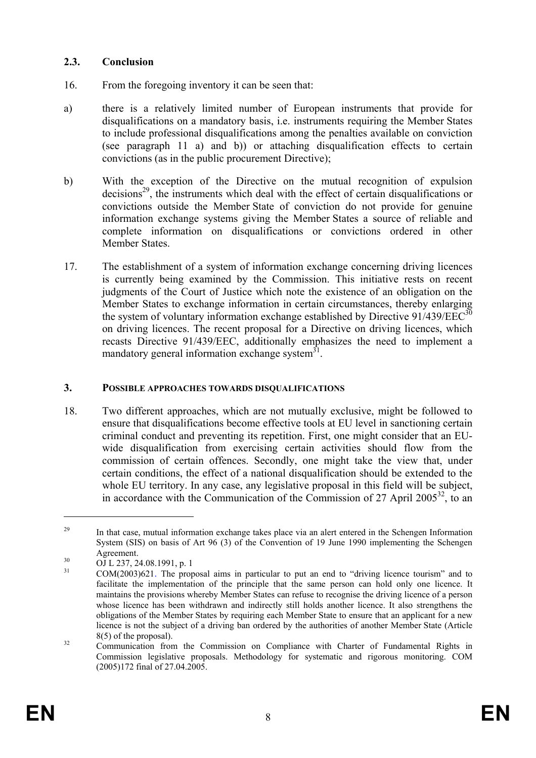## **2.3. Conclusion**

- 16. From the foregoing inventory it can be seen that:
- a) there is a relatively limited number of European instruments that provide for disqualifications on a mandatory basis, i.e. instruments requiring the Member States to include professional disqualifications among the penalties available on conviction (see paragraph 11 a) and b)) or attaching disqualification effects to certain convictions (as in the public procurement Directive);
- b) With the exception of the Directive on the mutual recognition of expulsion  $decisions<sup>29</sup>$ , the instruments which deal with the effect of certain disqualifications or convictions outside the Member State of conviction do not provide for genuine information exchange systems giving the Member States a source of reliable and complete information on disqualifications or convictions ordered in other Member States.
- 17. The establishment of a system of information exchange concerning driving licences is currently being examined by the Commission. This initiative rests on recent judgments of the Court of Justice which note the existence of an obligation on the Member States to exchange information in certain circumstances, thereby enlarging the system of voluntary information exchange established by Directive  $91/439/EEC^{30}$ on driving licences. The recent proposal for a Directive on driving licences, which recasts Directive 91/439/EEC, additionally emphasizes the need to implement a mandatory general information exchange system $31$ .

#### **3. POSSIBLE APPROACHES TOWARDS DISQUALIFICATIONS**

18. Two different approaches, which are not mutually exclusive, might be followed to ensure that disqualifications become effective tools at EU level in sanctioning certain criminal conduct and preventing its repetition. First, one might consider that an EUwide disqualification from exercising certain activities should flow from the commission of certain offences. Secondly, one might take the view that, under certain conditions, the effect of a national disqualification should be extended to the whole EU territory. In any case, any legislative proposal in this field will be subject, in accordance with the Communication of the Commission of 27 April  $2005^{32}$ , to an

<sup>&</sup>lt;sup>29</sup> In that case, mutual information exchange takes place via an alert entered in the Schengen Information System (SIS) on basis of Art 96 (3) of the Convention of 19 June 1990 implementing the Schengen

Agreement.<br>
OJ L 237, 24.08.1991, p. 1<br>
COM(2002) CO1. The prop

<sup>31</sup> COM(2003)621. The proposal aims in particular to put an end to "driving licence tourism" and to facilitate the implementation of the principle that the same person can hold only one licence. It maintains the provisions whereby Member States can refuse to recognise the driving licence of a person whose licence has been withdrawn and indirectly still holds another licence. It also strengthens the obligations of the Member States by requiring each Member State to ensure that an applicant for a new licence is not the subject of a driving ban ordered by the authorities of another Member State (Article

 $8(5)$  of the proposal).<br><sup>32</sup> Communication from the Commission on Compliance with Charter of Fundamental Rights in Commission legislative proposals. Methodology for systematic and rigorous monitoring. COM (2005)172 final of 27.04.2005.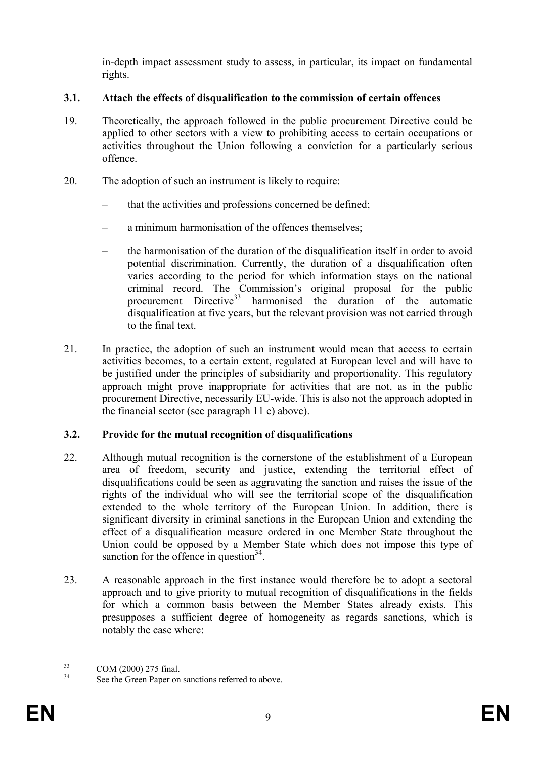in-depth impact assessment study to assess, in particular, its impact on fundamental rights.

# **3.1. Attach the effects of disqualification to the commission of certain offences**

- 19. Theoretically, the approach followed in the public procurement Directive could be applied to other sectors with a view to prohibiting access to certain occupations or activities throughout the Union following a conviction for a particularly serious offence.
- 20. The adoption of such an instrument is likely to require:
	- that the activities and professions concerned be defined;
	- a minimum harmonisation of the offences themselves;
	- the harmonisation of the duration of the disqualification itself in order to avoid potential discrimination. Currently, the duration of a disqualification often varies according to the period for which information stays on the national criminal record. The Commission's original proposal for the public procurement Directive<sup>33</sup> harmonised the duration of the automatic disqualification at five years, but the relevant provision was not carried through to the final text.
- 21. In practice, the adoption of such an instrument would mean that access to certain activities becomes, to a certain extent, regulated at European level and will have to be justified under the principles of subsidiarity and proportionality. This regulatory approach might prove inappropriate for activities that are not, as in the public procurement Directive, necessarily EU-wide. This is also not the approach adopted in the financial sector (see paragraph 11 c) above).

# **3.2. Provide for the mutual recognition of disqualifications**

- 22. Although mutual recognition is the cornerstone of the establishment of a European area of freedom, security and justice, extending the territorial effect of disqualifications could be seen as aggravating the sanction and raises the issue of the rights of the individual who will see the territorial scope of the disqualification extended to the whole territory of the European Union. In addition, there is significant diversity in criminal sanctions in the European Union and extending the effect of a disqualification measure ordered in one Member State throughout the Union could be opposed by a Member State which does not impose this type of sanction for the offence in question  $34$ .
- 23. A reasonable approach in the first instance would therefore be to adopt a sectoral approach and to give priority to mutual recognition of disqualifications in the fields for which a common basis between the Member States already exists. This presupposes a sufficient degree of homogeneity as regards sanctions, which is notably the case where:

 $\frac{33}{34}$  COM (2000) 275 final.

See the Green Paper on sanctions referred to above.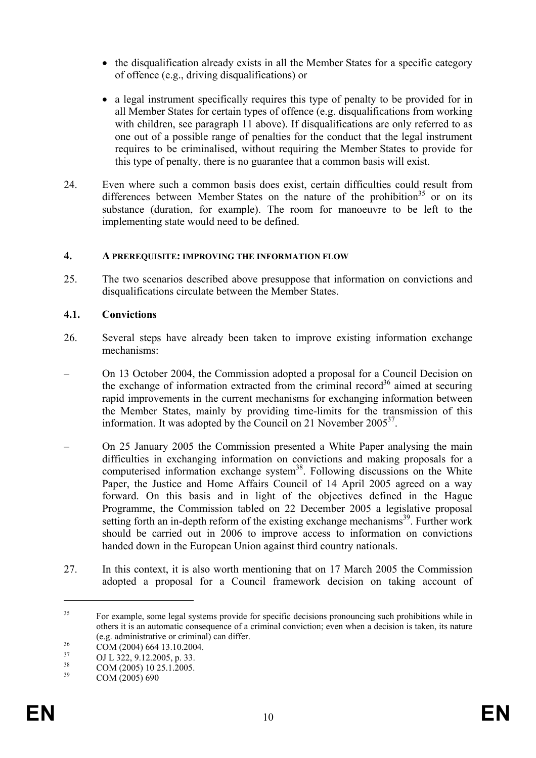- the disqualification already exists in all the Member States for a specific category of offence (e.g., driving disqualifications) or
- a legal instrument specifically requires this type of penalty to be provided for in all Member States for certain types of offence (e.g. disqualifications from working with children, see paragraph 11 above). If disqualifications are only referred to as one out of a possible range of penalties for the conduct that the legal instrument requires to be criminalised, without requiring the Member States to provide for this type of penalty, there is no guarantee that a common basis will exist.
- 24. Even where such a common basis does exist, certain difficulties could result from differences between Member States on the nature of the prohibition<sup>35</sup> or on its substance (duration, for example). The room for manoeuvre to be left to the implementing state would need to be defined.

## **4. A PREREQUISITE: IMPROVING THE INFORMATION FLOW**

25. The two scenarios described above presuppose that information on convictions and disqualifications circulate between the Member States.

## **4.1. Convictions**

- 26. Several steps have already been taken to improve existing information exchange mechanisms:
- On 13 October 2004, the Commission adopted a proposal for a Council Decision on the exchange of information extracted from the criminal record<sup>36</sup> aimed at securing rapid improvements in the current mechanisms for exchanging information between the Member States, mainly by providing time-limits for the transmission of this information. It was adopted by the Council on 21 November  $2005^{37}$ .
- On 25 January 2005 the Commission presented a White Paper analysing the main difficulties in exchanging information on convictions and making proposals for a computerised information exchange system<sup>38</sup>. Following discussions on the White Paper, the Justice and Home Affairs Council of 14 April 2005 agreed on a way forward. On this basis and in light of the objectives defined in the Hague Programme, the Commission tabled on 22 December 2005 a legislative proposal setting forth an in-depth reform of the existing exchange mechanisms<sup>39</sup>. Further work should be carried out in 2006 to improve access to information on convictions handed down in the European Union against third country nationals.
- 27. In this context, it is also worth mentioning that on 17 March 2005 the Commission adopted a proposal for a Council framework decision on taking account of

<sup>&</sup>lt;sup>35</sup> For example, some legal systems provide for specific decisions pronouncing such prohibitions while in others it is an automatic consequence of a criminal conviction; even when a decision is taken, its nature (e.g. administrative or criminal) can differ.<br>COM (2004) 664 13.10.2004.<br><sup>37</sup> COM 222, 0.12.2005.

 $^{37}$  OJ L 322, 9.12.2005, p. 33.

 $\frac{38}{39}$  COM (2005) 10 25.1.2005.

 $COM (2005) 690$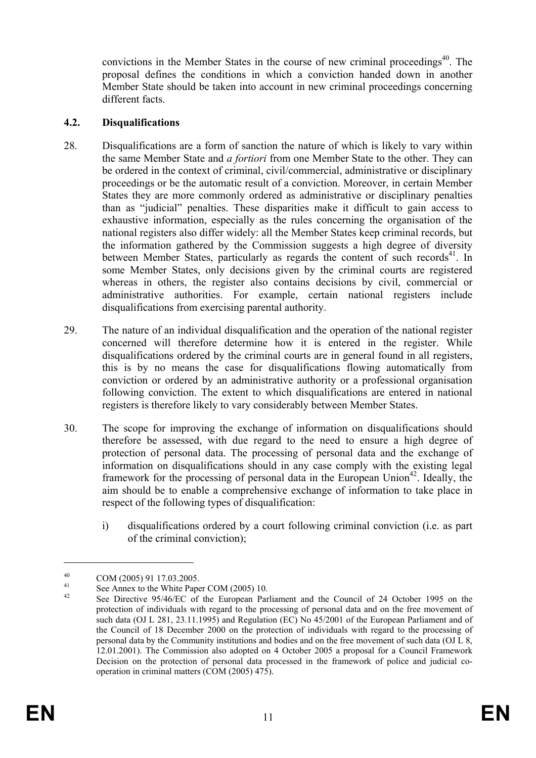convictions in the Member States in the course of new criminal proceedings<sup>40</sup>. The proposal defines the conditions in which a conviction handed down in another Member State should be taken into account in new criminal proceedings concerning different facts.

## **4.2. Disqualifications**

- 28. Disqualifications are a form of sanction the nature of which is likely to vary within the same Member State and *a fortiori* from one Member State to the other. They can be ordered in the context of criminal, civil/commercial, administrative or disciplinary proceedings or be the automatic result of a conviction. Moreover, in certain Member States they are more commonly ordered as administrative or disciplinary penalties than as "judicial" penalties. These disparities make it difficult to gain access to exhaustive information, especially as the rules concerning the organisation of the national registers also differ widely: all the Member States keep criminal records, but the information gathered by the Commission suggests a high degree of diversity between Member States, particularly as regards the content of such records<sup>41</sup>. In some Member States, only decisions given by the criminal courts are registered whereas in others, the register also contains decisions by civil, commercial or administrative authorities. For example, certain national registers include disqualifications from exercising parental authority.
- 29. The nature of an individual disqualification and the operation of the national register concerned will therefore determine how it is entered in the register. While disqualifications ordered by the criminal courts are in general found in all registers, this is by no means the case for disqualifications flowing automatically from conviction or ordered by an administrative authority or a professional organisation following conviction. The extent to which disqualifications are entered in national registers is therefore likely to vary considerably between Member States.
- 30. The scope for improving the exchange of information on disqualifications should therefore be assessed, with due regard to the need to ensure a high degree of protection of personal data. The processing of personal data and the exchange of information on disqualifications should in any case comply with the existing legal framework for the processing of personal data in the European Union<sup>42</sup>. Ideally, the aim should be to enable a comprehensive exchange of information to take place in respect of the following types of disqualification:
	- i) disqualifications ordered by a court following criminal conviction (i.e. as part of the criminal conviction);

 $^{40}$  COM (2005) 91 17.03.2005.

<sup>&</sup>lt;sup>41</sup> See Annex to the White Paper COM (2005) 10.

See Directive 95/46/EC of the European Parliament and the Council of 24 October 1995 on the protection of individuals with regard to the processing of personal data and on the free movement of such data (OJ L 281, 23.11.1995) and Regulation (EC) No 45/2001 of the European Parliament and of the Council of 18 December 2000 on the protection of individuals with regard to the processing of personal data by the Community institutions and bodies and on the free movement of such data (OJ L 8, 12.01.2001). The Commission also adopted on 4 October 2005 a proposal for a Council Framework Decision on the protection of personal data processed in the framework of police and judicial cooperation in criminal matters (COM (2005) 475).